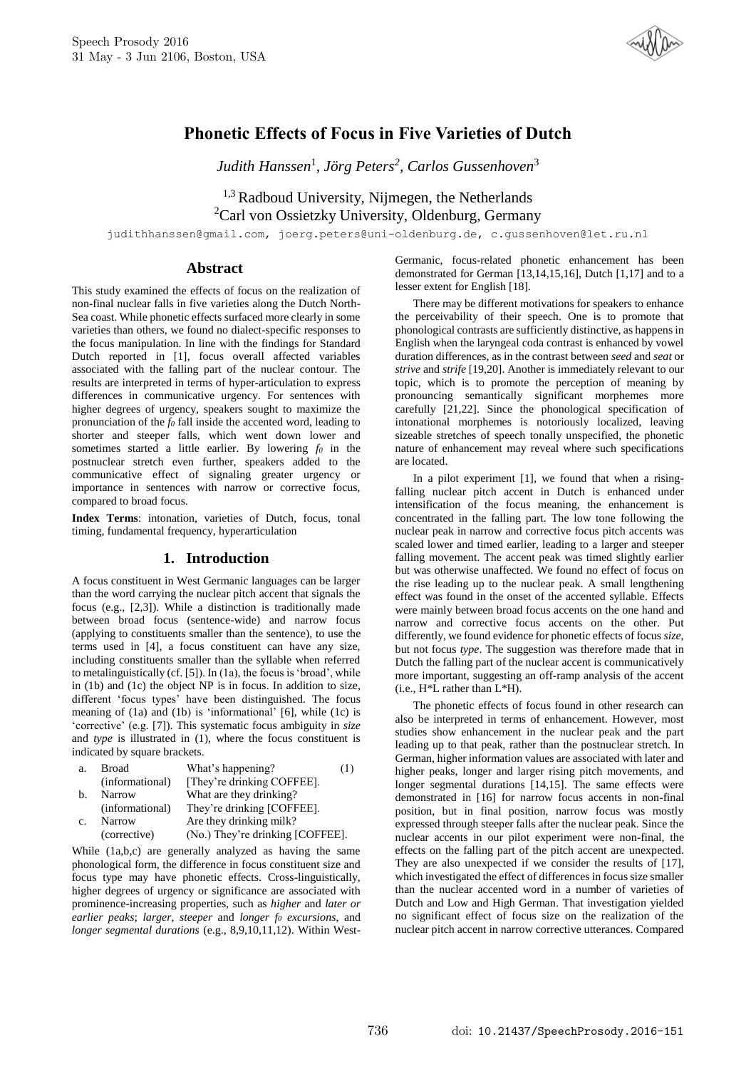

# **Phonetic Effects of Focus in Five Varieties of Dutch**

*Judith Hanssen*<sup>1</sup> *, Jörg Peters<sup>2</sup> , Carlos Gussenhoven*<sup>3</sup>

 $1,3$  Radboud University, Nijmegen, the Netherlands <sup>2</sup>Carl von Ossietzky University, Oldenburg, Germany

judithhanssen@gmail.com, joerg.peters@uni-oldenburg.de, c.gussenhoven@let.ru.nl

# **Abstract**

This study examined the effects of focus on the realization of non-final nuclear falls in five varieties along the Dutch North-Sea coast. While phonetic effects surfaced more clearly in some varieties than others, we found no dialect-specific responses to the focus manipulation. In line with the findings for Standard Dutch reported in [1], focus overall affected variables associated with the falling part of the nuclear contour. The results are interpreted in terms of hyper-articulation to express differences in communicative urgency. For sentences with higher degrees of urgency, speakers sought to maximize the pronunciation of the *f<sup>0</sup>* fall inside the accented word, leading to shorter and steeper falls, which went down lower and sometimes started a little earlier. By lowering *f<sup>0</sup>* in the postnuclear stretch even further, speakers added to the communicative effect of signaling greater urgency or importance in sentences with narrow or corrective focus, compared to broad focus.

**Index Terms**: intonation, varieties of Dutch, focus, tonal timing, fundamental frequency, hyperarticulation

# **1. Introduction**

A focus constituent in West Germanic languages can be larger than the word carrying the nuclear pitch accent that signals the focus (e.g., [2,3]). While a distinction is traditionally made between broad focus (sentence-wide) and narrow focus (applying to constituents smaller than the sentence), to use the terms used in [4], a focus constituent can have any size, including constituents smaller than the syllable when referred to metalinguistically (cf. [5]). In (1a), the focus is 'broad', while in (1b) and (1c) the object NP is in focus. In addition to size, different 'focus types' have been distinguished. The focus meaning of (1a) and (1b) is 'informational' [6], while (1c) is 'corrective' (e.g. [7]). This systematic focus ambiguity in *size* and *type* is illustrated in (1), where the focus constituent is indicated by square brackets.

| a.             | <b>Broad</b>    | What's happening?                | (1) |
|----------------|-----------------|----------------------------------|-----|
|                | (informational) | [They're drinking COFFEE].       |     |
| b.             | Narrow          | What are they drinking?          |     |
|                | (informational) | They're drinking [COFFEE].       |     |
| C <sub>1</sub> | Narrow          | Are they drinking milk?          |     |
|                | (corrective)    | (No.) They're drinking [COFFEE]. |     |

While (1a,b,c) are generally analyzed as having the same phonological form, the difference in focus constituent size and focus type may have phonetic effects. Cross-linguistically, higher degrees of urgency or significance are associated with prominence-increasing properties, such as *higher* and *later or earlier peaks*; *larger*, *steeper* and *longer f<sup>0</sup> excursions*, and *longer segmental durations* (e.g., 8,9,10,11,12). Within WestGermanic, focus-related phonetic enhancement has been demonstrated for German [13,14,15,16], Dutch [1,17] and to a lesser extent for English [18].

There may be different motivations for speakers to enhance the perceivability of their speech. One is to promote that phonological contrasts are sufficiently distinctive, as happens in English when the laryngeal coda contrast is enhanced by vowel duration differences, as in the contrast between *seed* and *seat* or *strive* and *strife* [19,20]. Another is immediately relevant to our topic, which is to promote the perception of meaning by pronouncing semantically significant morphemes more carefully [21,22]. Since the phonological specification of intonational morphemes is notoriously localized, leaving sizeable stretches of speech tonally unspecified, the phonetic nature of enhancement may reveal where such specifications are located.

In a pilot experiment [1], we found that when a risingfalling nuclear pitch accent in Dutch is enhanced under intensification of the focus meaning, the enhancement is concentrated in the falling part. The low tone following the nuclear peak in narrow and corrective focus pitch accents was scaled lower and timed earlier, leading to a larger and steeper falling movement. The accent peak was timed slightly earlier but was otherwise unaffected. We found no effect of focus on the rise leading up to the nuclear peak. A small lengthening effect was found in the onset of the accented syllable. Effects were mainly between broad focus accents on the one hand and narrow and corrective focus accents on the other. Put differently, we found evidence for phonetic effects of focus *size*, but not focus *type*. The suggestion was therefore made that in Dutch the falling part of the nuclear accent is communicatively more important, suggesting an off-ramp analysis of the accent (i.e., H\*L rather than L\*H).

The phonetic effects of focus found in other research can also be interpreted in terms of enhancement. However, most studies show enhancement in the nuclear peak and the part leading up to that peak, rather than the postnuclear stretch. In German, higher information values are associated with later and higher peaks, longer and larger rising pitch movements, and longer segmental durations [14,15]. The same effects were demonstrated in [16] for narrow focus accents in non-final position, but in final position, narrow focus was mostly expressed through steeper falls after the nuclear peak. Since the nuclear accents in our pilot experiment were non-final, the effects on the falling part of the pitch accent are unexpected. They are also unexpected if we consider the results of [17], which investigated the effect of differences in focus size smaller than the nuclear accented word in a number of varieties of Dutch and Low and High German. That investigation yielded no significant effect of focus size on the realization of the nuclear pitch accent in narrow corrective utterances. Compared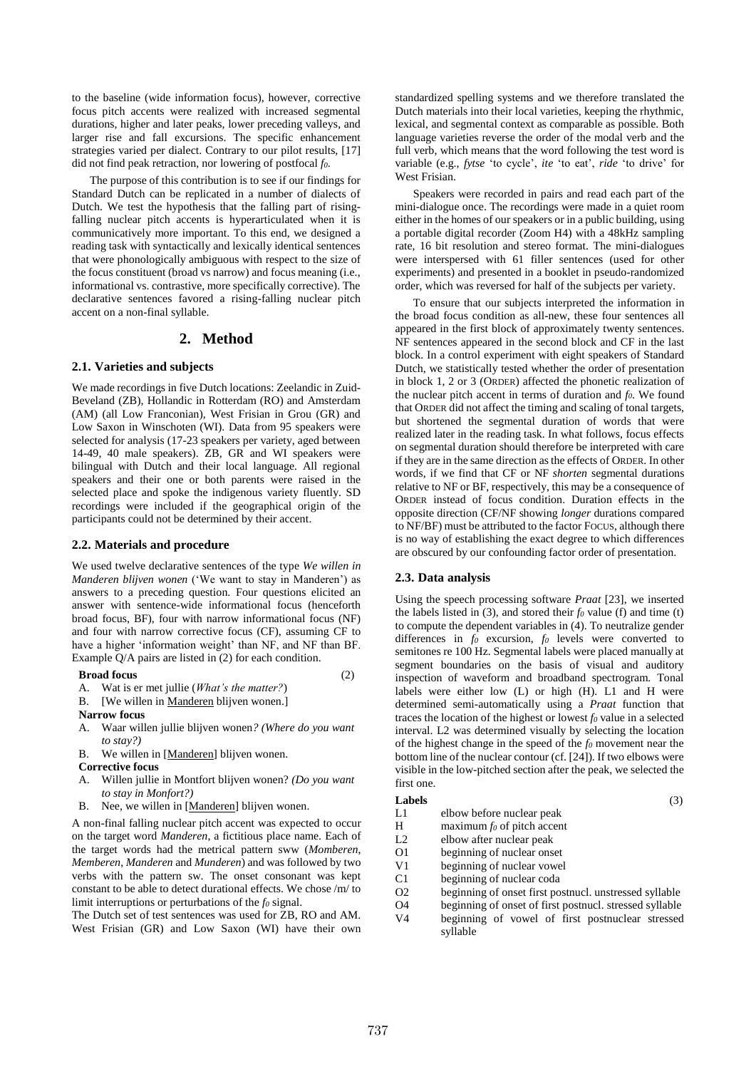to the baseline (wide information focus), however, corrective focus pitch accents were realized with increased segmental durations, higher and later peaks, lower preceding valleys, and larger rise and fall excursions. The specific enhancement strategies varied per dialect. Contrary to our pilot results, [17] did not find peak retraction, nor lowering of postfocal *f0*.

The purpose of this contribution is to see if our findings for Standard Dutch can be replicated in a number of dialects of Dutch. We test the hypothesis that the falling part of risingfalling nuclear pitch accents is hyperarticulated when it is communicatively more important. To this end, we designed a reading task with syntactically and lexically identical sentences that were phonologically ambiguous with respect to the size of the focus constituent (broad vs narrow) and focus meaning (i.e., informational vs. contrastive, more specifically corrective). The declarative sentences favored a rising-falling nuclear pitch accent on a non-final syllable.

## **2. Method**

#### **2.1. Varieties and subjects**

We made recordings in five Dutch locations: Zeelandic in Zuid-Beveland (ZB), Hollandic in Rotterdam (RO) and Amsterdam (AM) (all Low Franconian), West Frisian in Grou (GR) and Low Saxon in Winschoten (WI). Data from 95 speakers were selected for analysis (17-23 speakers per variety, aged between 14-49, 40 male speakers). ZB, GR and WI speakers were bilingual with Dutch and their local language. All regional speakers and their one or both parents were raised in the selected place and spoke the indigenous variety fluently. SD recordings were included if the geographical origin of the participants could not be determined by their accent.

#### **2.2. Materials and procedure**

We used twelve declarative sentences of the type *We willen in Manderen blijven wonen* ('We want to stay in Manderen') as answers to a preceding question. Four questions elicited an answer with sentence-wide informational focus (henceforth broad focus, BF), four with narrow informational focus (NF) and four with narrow corrective focus (CF), assuming CF to have a higher 'information weight' than NF, and NF than BF. Example Q/A pairs are listed in (2) for each condition.

## **Broad focus** (2)

- 
- A. Wat is er met jullie (*What's the matter?*)
- B. [We willen in <u>Manderen</u> blijven wonen.]
- **Narrow focus**
- A. Waar willen jullie blijven wonen*? (Where do you want to stay?)*
- B. We willen in [Manderen] blijven wonen.
- **Corrective focus**
- A. Willen jullie in Montfort blijven wonen? *(Do you want to stay in Monfort?)*
- B. Nee, we willen in [Manderen] blijven wonen.

A non-final falling nuclear pitch accent was expected to occur on the target word *Manderen*, a fictitious place name. Each of the target words had the metrical pattern sww (*Momberen*, *Memberen*, *Manderen* and *Munderen*) and was followed by two verbs with the pattern sw. The onset consonant was kept constant to be able to detect durational effects. We chose /m/ to limit interruptions or perturbations of the *f<sup>0</sup>* signal.

The Dutch set of test sentences was used for ZB, RO and AM. West Frisian (GR) and Low Saxon (WI) have their own standardized spelling systems and we therefore translated the Dutch materials into their local varieties, keeping the rhythmic, lexical, and segmental context as comparable as possible. Both language varieties reverse the order of the modal verb and the full verb, which means that the word following the test word is variable (e.g., *fytse* 'to cycle', *ite* 'to eat', *ride* 'to drive' for West Frisian.

Speakers were recorded in pairs and read each part of the mini-dialogue once. The recordings were made in a quiet room either in the homes of our speakers or in a public building, using a portable digital recorder (Zoom H4) with a 48kHz sampling rate, 16 bit resolution and stereo format. The mini-dialogues were interspersed with 61 filler sentences (used for other experiments) and presented in a booklet in pseudo-randomized order, which was reversed for half of the subjects per variety.

To ensure that our subjects interpreted the information in the broad focus condition as all-new, these four sentences all appeared in the first block of approximately twenty sentences. NF sentences appeared in the second block and CF in the last block. In a control experiment with eight speakers of Standard Dutch, we statistically tested whether the order of presentation in block 1, 2 or 3 (ORDER) affected the phonetic realization of the nuclear pitch accent in terms of duration and *f0*. We found that ORDER did not affect the timing and scaling of tonal targets, but shortened the segmental duration of words that were realized later in the reading task. In what follows, focus effects on segmental duration should therefore be interpreted with care if they are in the same direction as the effects of ORDER. In other words, if we find that CF or NF *shorten* segmental durations relative to NF or BF, respectively, this may be a consequence of ORDER instead of focus condition. Duration effects in the opposite direction (CF/NF showing *longer* durations compared to NF/BF) must be attributed to the factor FOCUS, although there is no way of establishing the exact degree to which differences are obscured by our confounding factor order of presentation.

## **2.3. Data analysis**

Using the speech processing software *Praat* [23], we inserted the labels listed in  $(3)$ , and stored their  $f<sub>0</sub>$  value  $(f)$  and time  $(t)$ to compute the dependent variables in (4). To neutralize gender differences in *f<sup>0</sup>* excursion, *f<sup>0</sup>* levels were converted to semitones re 100 Hz. Segmental labels were placed manually at segment boundaries on the basis of visual and auditory inspection of waveform and broadband spectrogram. Tonal labels were either low (L) or high (H). L1 and H were determined semi-automatically using a *Praat* function that traces the location of the highest or lowest *f<sup>0</sup>* value in a selected interval. L2 was determined visually by selecting the location of the highest change in the speed of the *f<sup>0</sup>* movement near the bottom line of the nuclear contour (cf. [24]). If two elbows were visible in the low-pitched section after the peak, we selected the first one.

#### **Labels** (3)

- L1 elbow before nuclear peak
- H maximum *f<sup>0</sup>* of pitch accent
- L2 elbow after nuclear peak O1 beginning of nuclear onset
- V1 beginning of nuclear vowel
- C1 beginning of nuclear coda
- 
- O2 beginning of onset first postnucl. unstressed syllable O4 beginning of onset of first postnucl. stressed syllable
- V4 beginning of vowel of first postnuclear stressed syllable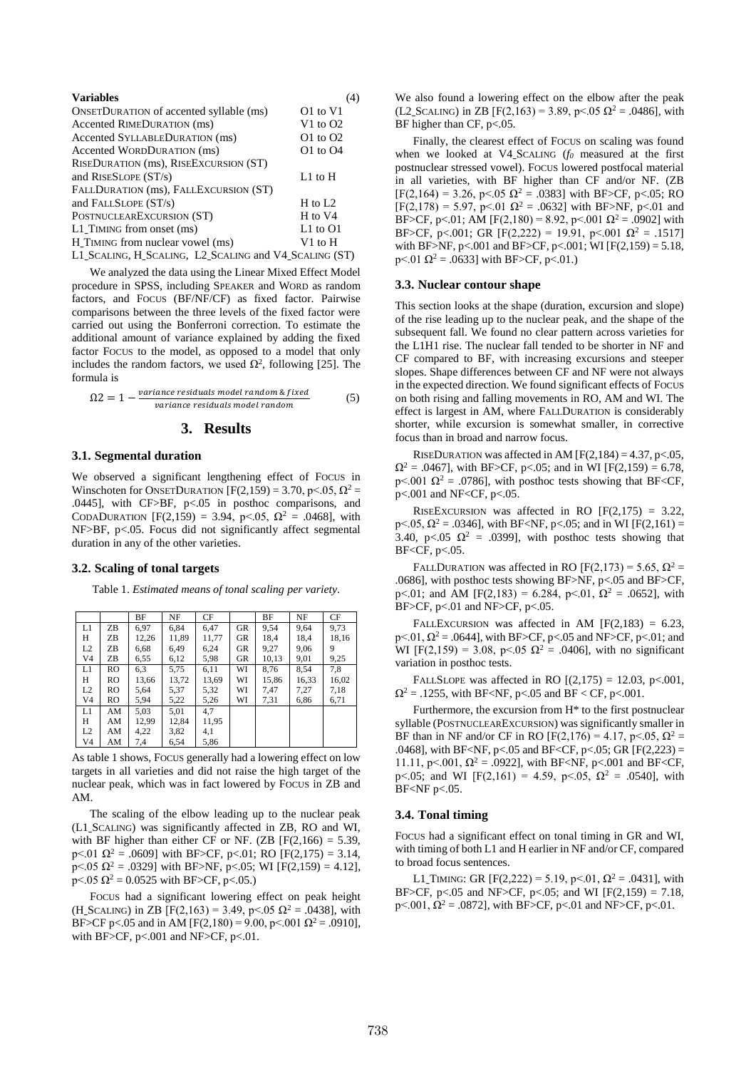| <b>Variables</b>                                      | (4)          |  |  |  |  |
|-------------------------------------------------------|--------------|--|--|--|--|
| <b>ONSETDURATION of accented syllable (ms)</b>        | O1 to V1     |  |  |  |  |
| Accented RIMEDURATION (ms)                            | V1 to $O2$   |  |  |  |  |
| Accented SYLLABLEDURATION (ms)                        | $Q1$ to $Q2$ |  |  |  |  |
| Accented WORDDURATION (ms)                            | $O1$ to $O4$ |  |  |  |  |
| RISEDURATION (ms), RISEEXCURSION (ST)                 |              |  |  |  |  |
| and RISESLOPE $(ST/s)$                                | $L1$ to $H$  |  |  |  |  |
| FALLDURATION (ms), FALLEXCURSION (ST)                 |              |  |  |  |  |
| and FALLSLOPE $(ST/s)$                                | H to $L2$    |  |  |  |  |
| POSTNUCLEAREXCURSION (ST)                             | H to V4      |  |  |  |  |
| L1 TIMING from onset (ms)                             | $L1$ to $O1$ |  |  |  |  |
| H TIMING from nuclear vowel (ms)                      | V1 to H      |  |  |  |  |
| L1 SCALING, H SCALING, L2 SCALING and V4 SCALING (ST) |              |  |  |  |  |

We analyzed the data using the Linear Mixed Effect Model procedure in SPSS, including SPEAKER and WORD as random factors, and FOCUS (BF/NF/CF) as fixed factor. Pairwise comparisons between the three levels of the fixed factor were carried out using the Bonferroni correction. To estimate the additional amount of variance explained by adding the fixed factor FOCUS to the model, as opposed to a model that only includes the random factors, we used  $\Omega^2$ , following [25]. The formula is

$$
\Omega 2 = 1 - \frac{\text{variance residuals model random & fixed}{\text{variance residuals model random}} \tag{5}
$$

## **3. Results**

#### **3.1. Segmental duration**

We observed a significant lengthening effect of FOCUS in Winschoten for ONSETDURATION [F(2,159) = 3.70, p < 05,  $\Omega^2$  = .0445], with CF>BF, p<.05 in posthoc comparisons, and CODADURATION [F(2,159) = 3.94, p < .05,  $\Omega^2$  = .0468], with NF>BF, p<.05. Focus did not significantly affect segmental duration in any of the other varieties.

#### **3.2. Scaling of tonal targets**

Table 1. *Estimated means of tonal scaling per variety*.

|                |     | BF    | NF    | CF    |           | BF    | NF    | CF    |
|----------------|-----|-------|-------|-------|-----------|-------|-------|-------|
| L1             | ZB  | 6,97  | 6,84  | 6,47  | <b>GR</b> | 9,54  | 9,64  | 9,73  |
| Н              | ZΒ  | 12,26 | 11,89 | 11,77 | <b>GR</b> | 18,4  | 18,4  | 18,16 |
| L <sub>2</sub> | ZΒ  | 6,68  | 6,49  | 6,24  | <b>GR</b> | 9,27  | 9,06  | 9     |
| V <sub>4</sub> | ZΒ  | 6,55  | 6,12  | 5,98  | <b>GR</b> | 10,13 | 9,01  | 9,25  |
| L1             | RO. | 6,3   | 5,75  | 6,11  | WI        | 8.76  | 8,54  | 7,8   |
| H              | RO  | 13,66 | 13,72 | 13,69 | WI        | 15,86 | 16,33 | 16,02 |
| L2             | RO  | 5,64  | 5,37  | 5,32  | WI        | 7,47  | 7,27  | 7,18  |
| V <sub>4</sub> | RO  | 5,94  | 5,22  | 5,26  | WI        | 7,31  | 6,86  | 6,71  |
| L1             | AM  | 5,03  | 5,01  | 4.7   |           |       |       |       |
| H              | AM  | 12,99 | 12,84 | 11,95 |           |       |       |       |
| L2             | AM  | 4,22  | 3,82  | 4,1   |           |       |       |       |
| V <sub>4</sub> | AM  | 7.4   | 6.54  | 5,86  |           |       |       |       |

As table 1 shows, FOCUS generally had a lowering effect on low targets in all varieties and did not raise the high target of the nuclear peak, which was in fact lowered by FOCUS in ZB and AM.

The scaling of the elbow leading up to the nuclear peak (L1ˍSCALING) was significantly affected in ZB, RO and WI, with BF higher than either CF or NF.  $(ZB [F(2,166) = 5.39,$ p<.01  $\Omega^2$  = .0609] with BF>CF, p<.01; RO [F(2,175) = 3.14,  $p<.05$  Ω<sup>2</sup> = .0329] with BF>NF, p<.05; WI [F(2,159) = 4.12],  $p<.05 \Omega^2 = 0.0525$  with BF>CF, p<.05.)

FOCUS had a significant lowering effect on peak height (H\_SCALING) in ZB [F(2,163) = 3.49, p < 0.05  $\Omega^2$  = .0438], with BF>CF p<.05 and in AM [F(2,180) = 9.00, p<.001  $\Omega$ <sup>2</sup> = .0910], with BF>CF, p<.001 and NF>CF, p<.01.

We also found a lowering effect on the elbow after the peak (L2\_SCALING) in ZB [F(2,163) = 3.89, p < .05  $\Omega^2$  = .0486], with BF higher than CF,  $p<.05$ .

Finally, the clearest effect of FOCUS on scaling was found when we looked at V4ˍSCALING (*f<sup>0</sup>* measured at the first postnuclear stressed vowel). FOCUS lowered postfocal material in all varieties, with BF higher than CF and/or NF. (ZB  $[F(2,164) = 3.26, p < 05 \Omega^2 = .0383]$  with BF>CF, p<.05; RO  $[F(2,178) = 5.97, p<.01$   $\Omega^2 = .0632]$  with BF>NF, p<.01 and BF>CF, p<.01; AM [F(2,180) = 8.92, p<.001  $\Omega^2$  = .0902] with BF>CF, p<.001; GR [F(2,222) = 19.91, p<.001  $\Omega^2$  = .1517] with BF>NF, p<.001 and BF>CF, p<.001; WI [F(2,159) = 5.18, p <.01  $\Omega^2$  = .0633] with BF>CF, p <.01.)

#### **3.3. Nuclear contour shape**

This section looks at the shape (duration, excursion and slope) of the rise leading up to the nuclear peak, and the shape of the subsequent fall. We found no clear pattern across varieties for the L1H1 rise. The nuclear fall tended to be shorter in NF and CF compared to BF, with increasing excursions and steeper slopes. Shape differences between CF and NF were not always in the expected direction. We found significant effects of FOCUS on both rising and falling movements in RO, AM and WI. The effect is largest in AM, where FALLDURATION is considerably shorter, while excursion is somewhat smaller, in corrective focus than in broad and narrow focus.

RISEDURATION was affected in AM  $[F(2,184) = 4.37, p < 0.05,$  $\Omega^2 = .0467$ , with BF>CF, p<.05; and in WI [F(2,159) = 6.78, p<.001  $\Omega^2$  = .0786], with posthoc tests showing that BF<CF, p<.001 and NF<CF, p<.05.

RISEEXCURSION was affected in RO  $[F(2,175) = 3.22,$ p < .05,  $\Omega^2$  = .0346], with BF <NF, p < .05; and in WI [F(2,161) = 3.40, p<.05  $\Omega^2$  = .0399], with posthoc tests showing that BF<CF, p<.05.

FALLDURATION was affected in RO  $[F(2,173) = 5.65, \Omega^2 =$ .0686], with posthoc tests showing BF>NF, p<.05 and BF>CF, p<.01; and AM [F(2,183) = 6.284, p <.01,  $Ω<sup>2</sup> = .0652$ ], with BF $>$ CF, p<.01 and NF $>$ CF, p<.05.

FALLEXCURSION was affected in AM  $[F(2.183) = 6.23]$ .  $p<.01$ ,  $\Omega^2 = .0644$ , with BF>CF, p<.05 and NF>CF, p<.01; and WI [F(2,159) = 3.08, p<.05  $\Omega^2$  = .0406], with no significant variation in posthoc tests.

FALLSLOPE was affected in RO  $[(2,175) = 12.03, p<0.001]$ ,  $\Omega^2$  = .1255, with BF<NF, p<.05 and BF < CF, p<.001.

Furthermore, the excursion from H\* to the first postnuclear syllable (POSTNUCLEAREXCURSION) was significantly smaller in BF than in NF and/or CF in RO [F(2,176) = 4.17, p < 05,  $Ω<sup>2</sup>$  = .0468], with BF<NF, p<.05 and BF<CF, p<.05; GR [F(2,223) = 11.11, p<.001,  $\Omega^2$  = .0922], with BF<NF, p<.001 and BF<CF, p<.05; and WI [F(2,161) = 4.59, p <.05,  $Ω<sup>2</sup> = .0540$ ], with BF<NF p<.05.

#### **3.4. Tonal timing**

FOCUS had a significant effect on tonal timing in GR and WI, with timing of both L1 and H earlier in NF and/or CF, compared to broad focus sentences.

L1\_TIMING: GR [F(2,222) = 5.19, p < 0.01,  $\Omega^2$  = .0431], with BF>CF, p<.05 and NF>CF, p<.05; and WI [F(2,159) = 7.18, p<.001,  $\Omega^2$  = .0872], with BF>CF, p<.01 and NF>CF, p<.01.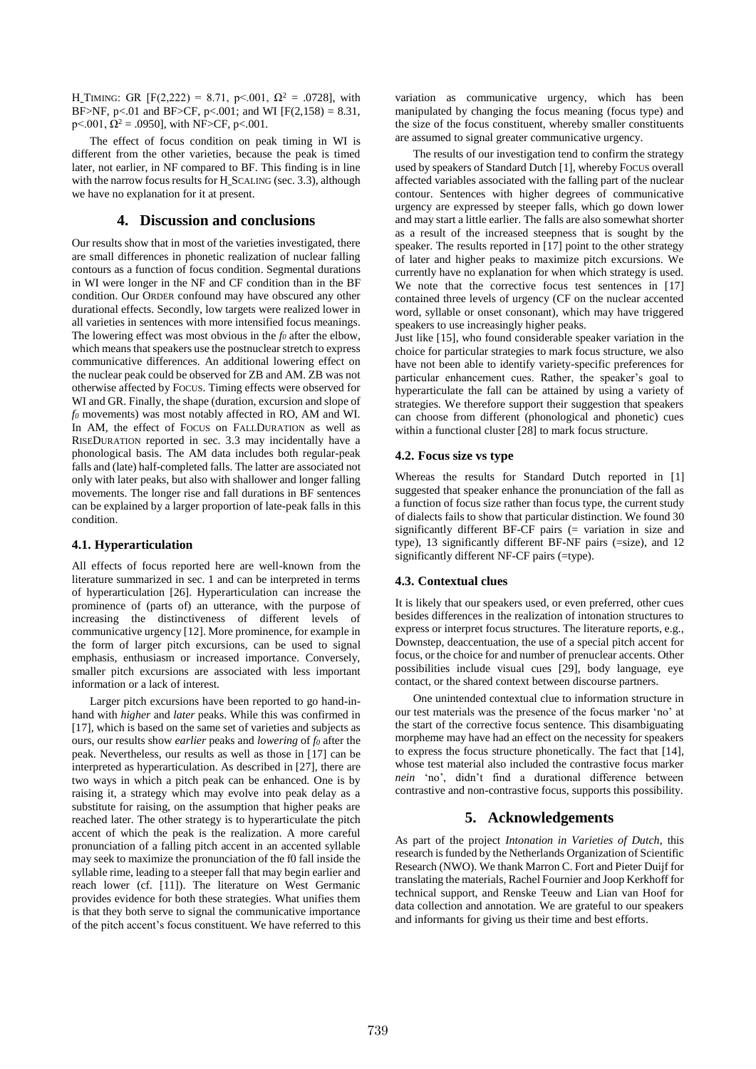H\_TIMING: GR [F(2,222) = 8.71, p < 001,  $\Omega^2$  = .0728], with BF>NF, p<.01 and BF>CF, p<.001; and WI [F(2,158) = 8.31, p < 0.001,  $\Omega^2$  = .0950], with NF>CF, p < 0.001.

The effect of focus condition on peak timing in WI is different from the other varieties, because the peak is timed later, not earlier, in NF compared to BF. This finding is in line with the narrow focus results for H\_SCALING (sec. 3.3), although we have no explanation for it at present.

## **4. Discussion and conclusions**

Our results show that in most of the varieties investigated, there are small differences in phonetic realization of nuclear falling contours as a function of focus condition. Segmental durations in WI were longer in the NF and CF condition than in the BF condition. Our ORDER confound may have obscured any other durational effects. Secondly, low targets were realized lower in all varieties in sentences with more intensified focus meanings. The lowering effect was most obvious in the *f<sup>0</sup>* after the elbow, which means that speakers use the postnuclear stretch to express communicative differences. An additional lowering effect on the nuclear peak could be observed for ZB and AM. ZB was not otherwise affected by FOCUS. Timing effects were observed for WI and GR. Finally, the shape (duration, excursion and slope of *f<sup>0</sup>* movements) was most notably affected in RO, AM and WI. In AM, the effect of FOCUS on FALLDURATION as well as RISEDURATION reported in sec. 3.3 may incidentally have a phonological basis. The AM data includes both regular-peak falls and (late) half-completed falls. The latter are associated not only with later peaks, but also with shallower and longer falling movements. The longer rise and fall durations in BF sentences can be explained by a larger proportion of late-peak falls in this condition.

## **4.1. Hyperarticulation**

All effects of focus reported here are well-known from the literature summarized in sec. 1 and can be interpreted in terms of hyperarticulation [26]. Hyperarticulation can increase the prominence of (parts of) an utterance, with the purpose of increasing the distinctiveness of different levels of communicative urgency [12]. More prominence, for example in the form of larger pitch excursions, can be used to signal emphasis, enthusiasm or increased importance. Conversely, smaller pitch excursions are associated with less important information or a lack of interest.

Larger pitch excursions have been reported to go hand-inhand with *higher* and *later* peaks. While this was confirmed in [17], which is based on the same set of varieties and subjects as ours, our results show *earlier* peaks and *lowering* of *f<sup>0</sup>* after the peak. Nevertheless, our results as well as those in [17] can be interpreted as hyperarticulation. As described in [27], there are two ways in which a pitch peak can be enhanced. One is by raising it, a strategy which may evolve into peak delay as a substitute for raising, on the assumption that higher peaks are reached later. The other strategy is to hyperarticulate the pitch accent of which the peak is the realization. A more careful pronunciation of a falling pitch accent in an accented syllable may seek to maximize the pronunciation of the f0 fall inside the syllable rime, leading to a steeper fall that may begin earlier and reach lower (cf. [11]). The literature on West Germanic provides evidence for both these strategies. What unifies them is that they both serve to signal the communicative importance of the pitch accent's focus constituent. We have referred to this variation as communicative urgency, which has been manipulated by changing the focus meaning (focus type) and the size of the focus constituent, whereby smaller constituents are assumed to signal greater communicative urgency.

The results of our investigation tend to confirm the strategy used by speakers of Standard Dutch [1], whereby FOCUS overall affected variables associated with the falling part of the nuclear contour. Sentences with higher degrees of communicative urgency are expressed by steeper falls, which go down lower and may start a little earlier. The falls are also somewhat shorter as a result of the increased steepness that is sought by the speaker. The results reported in [17] point to the other strategy of later and higher peaks to maximize pitch excursions. We currently have no explanation for when which strategy is used. We note that the corrective focus test sentences in [17] contained three levels of urgency (CF on the nuclear accented word, syllable or onset consonant), which may have triggered speakers to use increasingly higher peaks.

Just like [15], who found considerable speaker variation in the choice for particular strategies to mark focus structure, we also have not been able to identify variety-specific preferences for particular enhancement cues. Rather, the speaker's goal to hyperarticulate the fall can be attained by using a variety of strategies. We therefore support their suggestion that speakers can choose from different (phonological and phonetic) cues within a functional cluster [28] to mark focus structure.

#### **4.2. Focus size vs type**

Whereas the results for Standard Dutch reported in [1] suggested that speaker enhance the pronunciation of the fall as a function of focus size rather than focus type, the current study of dialects fails to show that particular distinction. We found 30 significantly different BF-CF pairs (= variation in size and type), 13 significantly different BF-NF pairs (=size), and 12 significantly different NF-CF pairs (=type).

#### **4.3. Contextual clues**

It is likely that our speakers used, or even preferred, other cues besides differences in the realization of intonation structures to express or interpret focus structures. The literature reports, e.g., Downstep, deaccentuation, the use of a special pitch accent for focus, or the choice for and number of prenuclear accents. Other possibilities include visual cues [29], body language, eye contact, or the shared context between discourse partners.

One unintended contextual clue to information structure in our test materials was the presence of the focus marker 'no' at the start of the corrective focus sentence. This disambiguating morpheme may have had an effect on the necessity for speakers to express the focus structure phonetically. The fact that [14], whose test material also included the contrastive focus marker *nein* 'no', didn't find a durational difference between contrastive and non-contrastive focus, supports this possibility.

# **5. Acknowledgements**

As part of the project *Intonation in Varieties of Dutch*, this research is funded by the Netherlands Organization of Scientific Research (NWO). We thank Marron C. Fort and Pieter Duijf for translating the materials, Rachel Fournier and Joop Kerkhoff for technical support, and Renske Teeuw and Lian van Hoof for data collection and annotation. We are grateful to our speakers and informants for giving us their time and best efforts.